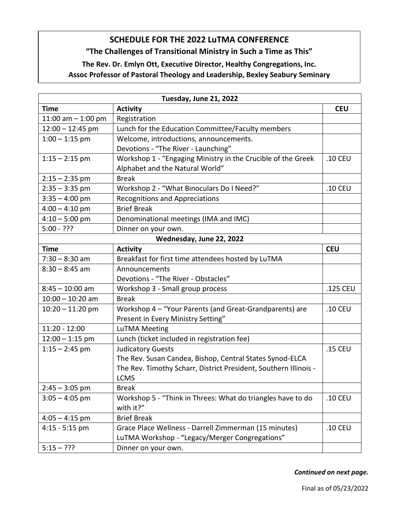## **SCHEDULE FOR THE 2022 LuTMA CONFERENCE**

## **"The Challenges of Transitional Ministry in Such a Time as This"**

## **The Rev. Dr. Emlyn Ott, Executive Director, Healthy Congregations, Inc.**

**Assoc Professor of Pastoral Theology and Leadership, Bexley Seabury Seminary**

| Tuesday, June 21, 2022   |                                                                  |            |  |
|--------------------------|------------------------------------------------------------------|------------|--|
| <b>Time</b>              | <b>Activity</b>                                                  | <b>CEU</b> |  |
| 11:00 am $-$ 1:00 pm     | Registration                                                     |            |  |
| $12:00 - 12:45$ pm       | Lunch for the Education Committee/Faculty members                |            |  |
| $1:00 - 1:15$ pm         | Welcome, introductions, announcements.                           |            |  |
|                          | Devotions - "The River - Launching"                              |            |  |
| $1:15 - 2:15$ pm         | Workshop 1 - "Engaging Ministry in the Crucible of the Greek     | .10 CEU    |  |
|                          | Alphabet and the Natural World"                                  |            |  |
| $2:15 - 2:35$ pm         | <b>Break</b>                                                     |            |  |
| $2:35 - 3:35$ pm         | Workshop 2 - "What Binoculars Do I Need?"                        | .10 CEU    |  |
| $3:35 - 4:00$ pm         | <b>Recognitions and Appreciations</b>                            |            |  |
| $4:00 - 4:10$ pm         | <b>Brief Break</b>                                               |            |  |
| $4:10 - 5:00$ pm         | Denominational meetings (IMA and IMC)                            |            |  |
| $5:00 - ???$             | Dinner on your own.                                              |            |  |
| Wednesday, June 22, 2022 |                                                                  |            |  |
| <b>Time</b>              | <b>Activity</b>                                                  | <b>CEU</b> |  |
| $7:30 - 8:30$ am         | Breakfast for first time attendees hosted by LuTMA               |            |  |
| $8:30 - 8:45$ am         | Announcements                                                    |            |  |
|                          | Devotions - "The River - Obstacles"                              |            |  |
| $8:45 - 10:00$ am        | Workshop 3 - Small group process                                 | .125 CEU   |  |
| $10:00 - 10:20$ am       | <b>Break</b>                                                     |            |  |
| $10:20 - 11:20$ pm       | Workshop 4 - "Your Parents (and Great-Grandparents) are          | .10 CEU    |  |
|                          | Present in Every Ministry Setting"                               |            |  |
| 11:20 - 12:00            | <b>LuTMA Meeting</b>                                             |            |  |
| $12:00 - 1:15$ pm        | Lunch (ticket included in registration fee)                      |            |  |
| $1:15 - 2:45$ pm         | <b>Judicatory Guests</b>                                         | .15 CEU    |  |
|                          | The Rev. Susan Candea, Bishop, Central States Synod-ELCA         |            |  |
|                          | The Rev. Timothy Scharr, District President, Southern Illinois - |            |  |
|                          | <b>LCMS</b>                                                      |            |  |
| $2:45 - 3:05$ pm         | <b>Break</b>                                                     |            |  |
| $3:05 - 4:05$ pm         | Workshop 5 - "Think in Threes: What do triangles have to do      | .10 CEU    |  |
|                          | with it?"                                                        |            |  |
| $4:05 - 4:15$ pm         | <b>Brief Break</b>                                               |            |  |
| $4:15 - 5:15$ pm         | Grace Place Wellness - Darrell Zimmerman (15 minutes)            | .10 CEU    |  |
|                          | LuTMA Workshop - "Legacy/Merger Congregations"                   |            |  |
| $5:15 - ???$             | Dinner on your own.                                              |            |  |

*Continued on next page.*

Final as of 05/23/2022